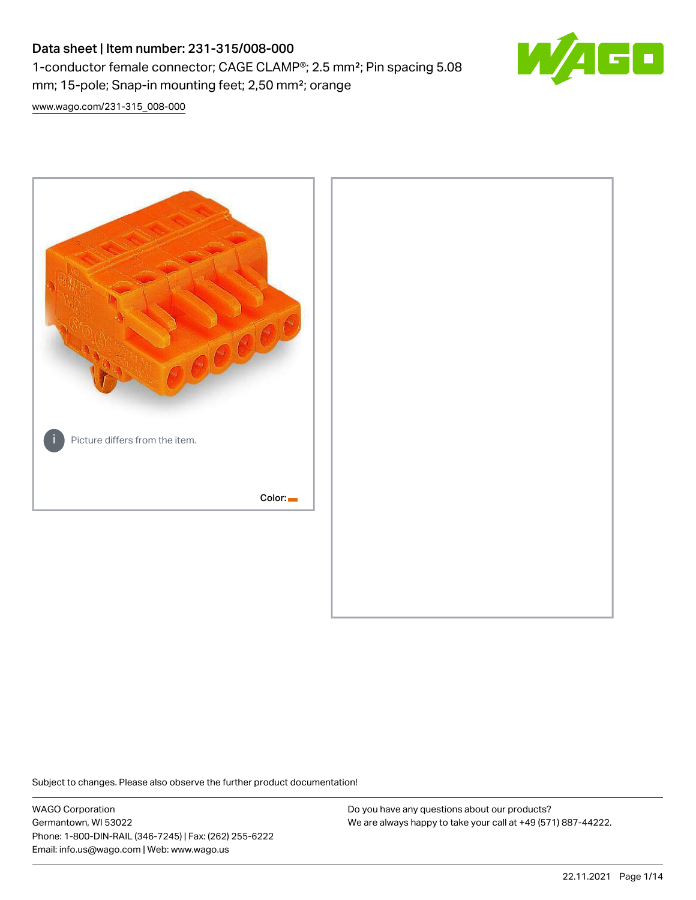# Data sheet | Item number: 231-315/008-000 1-conductor female connector; CAGE CLAMP®; 2.5 mm²; Pin spacing 5.08 mm; 15-pole; Snap-in mounting feet; 2,50 mm²; orange



[www.wago.com/231-315\\_008-000](http://www.wago.com/231-315_008-000)



Subject to changes. Please also observe the further product documentation!

WAGO Corporation Germantown, WI 53022 Phone: 1-800-DIN-RAIL (346-7245) | Fax: (262) 255-6222 Email: info.us@wago.com | Web: www.wago.us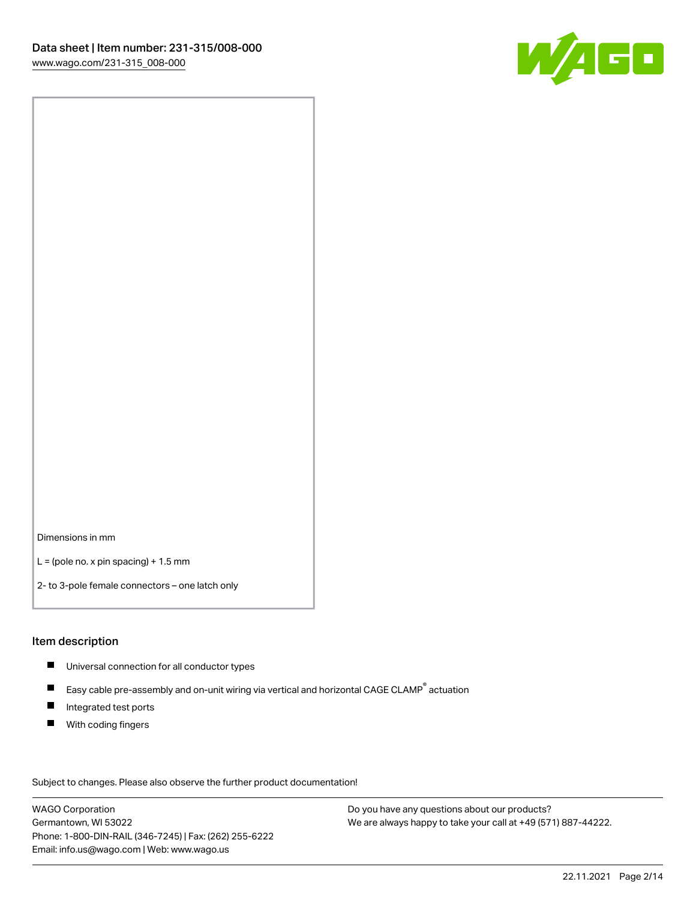

Dimensions in mm

 $L =$  (pole no. x pin spacing) + 1.5 mm

2- to 3-pole female connectors – one latch only

#### Item description

- **Universal connection for all conductor types**
- Easy cable pre-assembly and on-unit wiring via vertical and horizontal CAGE CLAMP<sup>®</sup> actuation  $\blacksquare$
- $\blacksquare$ Integrated test ports
- $\blacksquare$ With coding fingers

Subject to changes. Please also observe the further product documentation! Data

WAGO Corporation Germantown, WI 53022 Phone: 1-800-DIN-RAIL (346-7245) | Fax: (262) 255-6222 Email: info.us@wago.com | Web: www.wago.us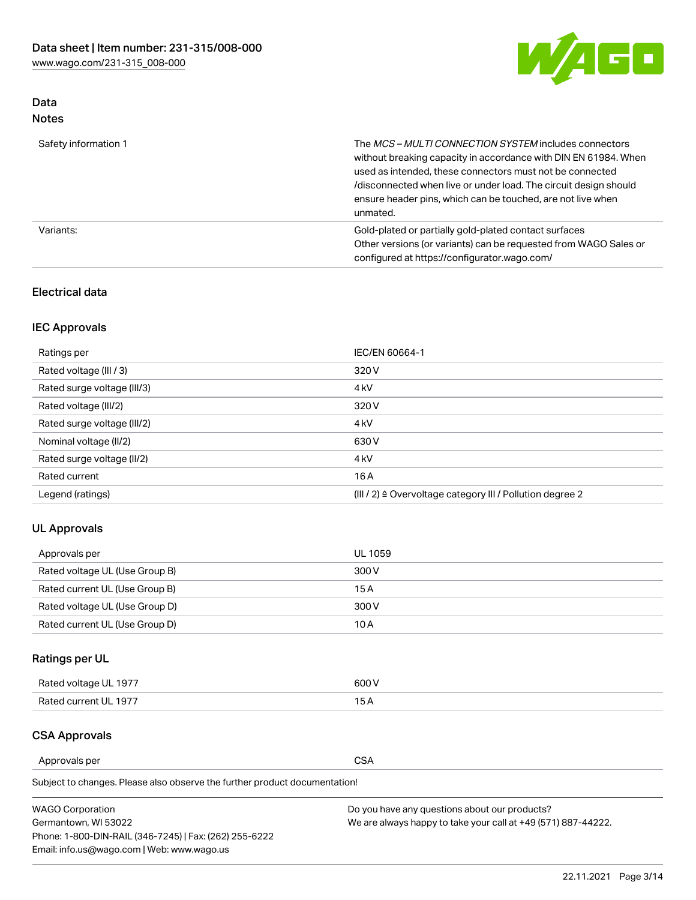

# Data Notes

| Safety information 1 | The MCS-MULTI CONNECTION SYSTEM includes connectors<br>without breaking capacity in accordance with DIN EN 61984. When<br>used as intended, these connectors must not be connected<br>/disconnected when live or under load. The circuit design should<br>ensure header pins, which can be touched, are not live when<br>unmated. |
|----------------------|-----------------------------------------------------------------------------------------------------------------------------------------------------------------------------------------------------------------------------------------------------------------------------------------------------------------------------------|
| Variants:            | Gold-plated or partially gold-plated contact surfaces<br>Other versions (or variants) can be requested from WAGO Sales or<br>configured at https://configurator.wago.com/                                                                                                                                                         |

### Electrical data

# IEC Approvals

| Ratings per                 | IEC/EN 60664-1                                                        |
|-----------------------------|-----------------------------------------------------------------------|
| Rated voltage (III / 3)     | 320 V                                                                 |
| Rated surge voltage (III/3) | 4 <sub>k</sub> V                                                      |
| Rated voltage (III/2)       | 320 V                                                                 |
| Rated surge voltage (III/2) | 4 <sub>k</sub> V                                                      |
| Nominal voltage (II/2)      | 630 V                                                                 |
| Rated surge voltage (II/2)  | 4 <sub>k</sub> V                                                      |
| Rated current               | 16 A                                                                  |
| Legend (ratings)            | $(III / 2)$ $\triangle$ Overvoltage category III / Pollution degree 2 |

# UL Approvals

| Approvals per                  | UL 1059 |
|--------------------------------|---------|
| Rated voltage UL (Use Group B) | 300 V   |
| Rated current UL (Use Group B) | 15 A    |
| Rated voltage UL (Use Group D) | 300 V   |
| Rated current UL (Use Group D) | 10 A    |

# Ratings per UL

| Rated voltage UL 1977 | 600 V         |
|-----------------------|---------------|
| Rated current UL 1977 | $\sim$ $\sim$ |

# CSA Approvals

Approvals per CSA

Subject to changes. Please also observe the further product documentation!

| <b>WAGO Corporation</b>                                | Do you have any questions about our products?                 |
|--------------------------------------------------------|---------------------------------------------------------------|
| Germantown, WI 53022                                   | We are always happy to take your call at +49 (571) 887-44222. |
| Phone: 1-800-DIN-RAIL (346-7245)   Fax: (262) 255-6222 |                                                               |
| Email: info.us@wago.com   Web: www.wago.us             |                                                               |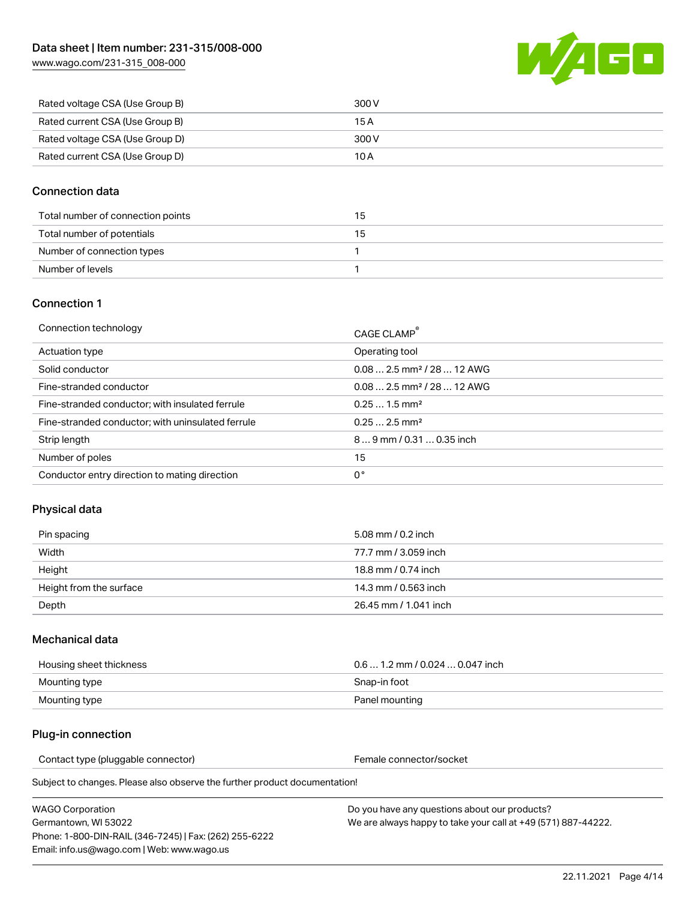[www.wago.com/231-315\\_008-000](http://www.wago.com/231-315_008-000)



| Rated voltage CSA (Use Group B) | 300 V |
|---------------------------------|-------|
| Rated current CSA (Use Group B) | 15 A  |
| Rated voltage CSA (Use Group D) | 300 V |
| Rated current CSA (Use Group D) | 10 A  |

# Connection data

| Total number of connection points | 15 |
|-----------------------------------|----|
| Total number of potentials        | 15 |
| Number of connection types        |    |
| Number of levels                  |    |

### Connection 1

| Connection technology                             | CAGE CLAMP®                             |
|---------------------------------------------------|-----------------------------------------|
| Actuation type                                    | Operating tool                          |
| Solid conductor                                   | $0.08$ 2.5 mm <sup>2</sup> / 28  12 AWG |
| Fine-stranded conductor                           | $0.082.5$ mm <sup>2</sup> / 28  12 AWG  |
| Fine-stranded conductor; with insulated ferrule   | $0.251.5$ mm <sup>2</sup>               |
| Fine-stranded conductor; with uninsulated ferrule | $0.252.5$ mm <sup>2</sup>               |
| Strip length                                      | $89$ mm / 0.31  0.35 inch               |
| Number of poles                                   | 15                                      |
| Conductor entry direction to mating direction     | 0°                                      |
|                                                   |                                         |

# Physical data

| Pin spacing             | 5.08 mm / 0.2 inch    |
|-------------------------|-----------------------|
| Width                   | 77.7 mm / 3.059 inch  |
| Height                  | 18.8 mm / 0.74 inch   |
| Height from the surface | 14.3 mm / 0.563 inch  |
| Depth                   | 26.45 mm / 1.041 inch |

### Mechanical data

| Housing sheet thickness | $0.61.2$ mm / 0.024  0.047 inch |
|-------------------------|---------------------------------|
| Mounting type           | Snap-in foot                    |
| Mounting type           | Panel mounting                  |

## Plug-in connection

Contact type (pluggable connector) example a set of the Female connector/socket

Subject to changes. Please also observe the further product documentation!

| WAGO Corporation                                       |  |
|--------------------------------------------------------|--|
| Germantown. WI 53022                                   |  |
| Phone: 1-800-DIN-RAIL (346-7245)   Fax: (262) 255-6222 |  |
| Email: info.us@wago.com   Web: www.wago.us             |  |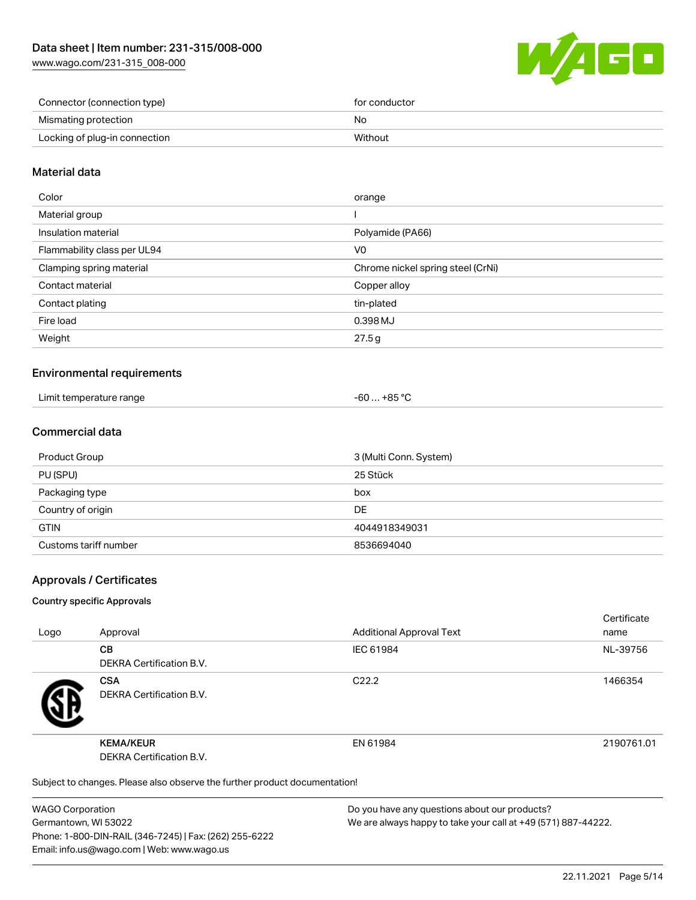[www.wago.com/231-315\\_008-000](http://www.wago.com/231-315_008-000)



| Connector (connection type)   | for conductor |
|-------------------------------|---------------|
| Mismating protection          | No            |
| Locking of plug-in connection | Without       |

### Material data

| Color                       | orange                            |
|-----------------------------|-----------------------------------|
| Material group              |                                   |
| Insulation material         | Polyamide (PA66)                  |
| Flammability class per UL94 | V0                                |
| Clamping spring material    | Chrome nickel spring steel (CrNi) |
| Contact material            | Copper alloy                      |
| Contact plating             | tin-plated                        |
| Fire load                   | 0.398 MJ                          |
| Weight                      | 27.5g                             |
|                             |                                   |

### Environmental requirements

| Limit temperature range | ⊥+85 °C<br>co<br>-ou |  |
|-------------------------|----------------------|--|
|-------------------------|----------------------|--|

### Commercial data

| Product Group         | 3 (Multi Conn. System) |
|-----------------------|------------------------|
| PU (SPU)              | 25 Stück               |
| Packaging type        | box                    |
| Country of origin     | <b>DE</b>              |
| <b>GTIN</b>           | 4044918349031          |
| Customs tariff number | 8536694040             |

### Approvals / Certificates

#### Country specific Approvals

| Logo | Approval                                                                   | <b>Additional Approval Text</b> | Certificate<br>name |
|------|----------------------------------------------------------------------------|---------------------------------|---------------------|
|      | <b>CB</b><br><b>DEKRA Certification B.V.</b>                               | IEC 61984                       | NL-39756            |
|      | <b>CSA</b><br>DEKRA Certification B.V.                                     | C <sub>22.2</sub>               | 1466354             |
|      | <b>KEMA/KEUR</b><br>DEKRA Certification B.V.                               | EN 61984                        | 2190761.01          |
|      | Subject to changes. Please also observe the further product documentation! |                                 |                     |

WAGO Corporation Germantown, WI 53022 Phone: 1-800-DIN-RAIL (346-7245) | Fax: (262) 255-6222 Email: info.us@wago.com | Web: www.wago.us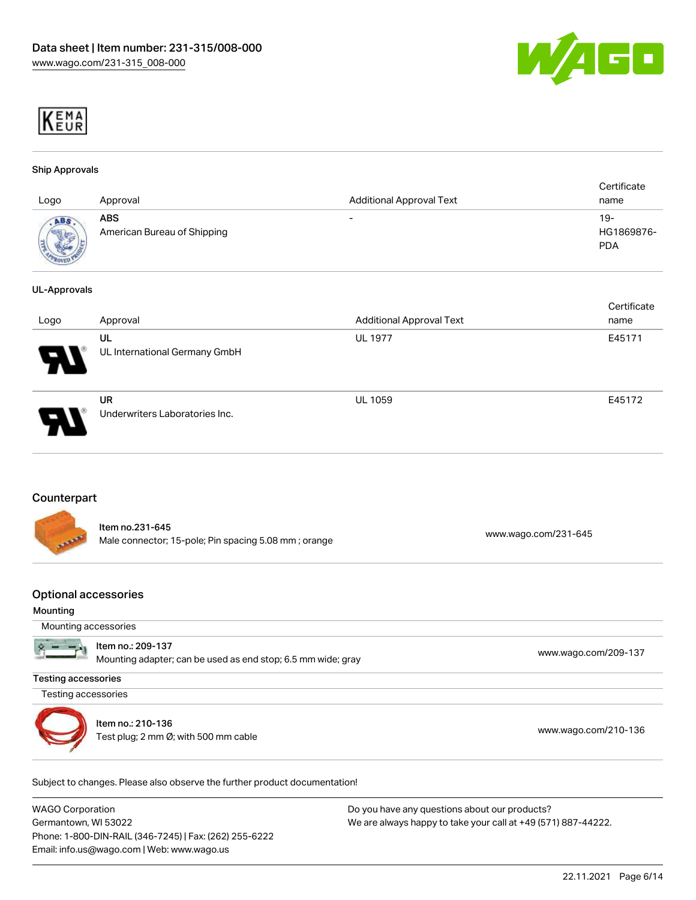



#### Ship Approvals

| Logo                         | Approval                                  | <b>Additional Approval Text</b> | Certificate<br>name               |
|------------------------------|-------------------------------------------|---------------------------------|-----------------------------------|
| ABS<br><b>SERVICE AND IN</b> | <b>ABS</b><br>American Bureau of Shipping | $\overline{\phantom{0}}$        | $19-$<br>HG1869876-<br><b>PDA</b> |

#### UL-Approvals

|                            |                                             |                                 | Certificate |
|----------------------------|---------------------------------------------|---------------------------------|-------------|
| Logo                       | Approval                                    | <b>Additional Approval Text</b> | name        |
| $\boldsymbol{\mathcal{A}}$ | UL<br>UL International Germany GmbH         | <b>UL 1977</b>                  | E45171      |
|                            | <b>UR</b><br>Underwriters Laboratories Inc. | <b>UL 1059</b>                  | E45172      |

#### **Counterpart**

| ATAMA | ltem no.231-645<br>Male connector; 15-pole; Pin spacing 5.08 mm; orange | www.wago.com/231-645 |
|-------|-------------------------------------------------------------------------|----------------------|
|       |                                                                         |                      |

#### Optional accessories

#### Mounting

|  | Mounting accessories |
|--|----------------------|
|  |                      |

|  | $\sum$ = $\frac{1}{2}$ = 1 ltem no.: 209-137<br>Mounting adapter; can be used as end stop; 6.5 mm wide; gray | www.wago.com/209-137 |
|--|--------------------------------------------------------------------------------------------------------------|----------------------|
|--|--------------------------------------------------------------------------------------------------------------|----------------------|

Testing accessories

Testing accessories



Item no.: 210-136 nem no.: 210-130<br>Test plug; 2 mm Ø; with 500 mm cable [www.wago.com/210-136](http://www.wago.com/210-136)

Subject to changes. Please also observe the further product documentation!

WAGO Corporation Germantown, WI 53022 Phone: 1-800-DIN-RAIL (346-7245) | Fax: (262) 255-6222 Email: info.us@wago.com | Web: www.wago.us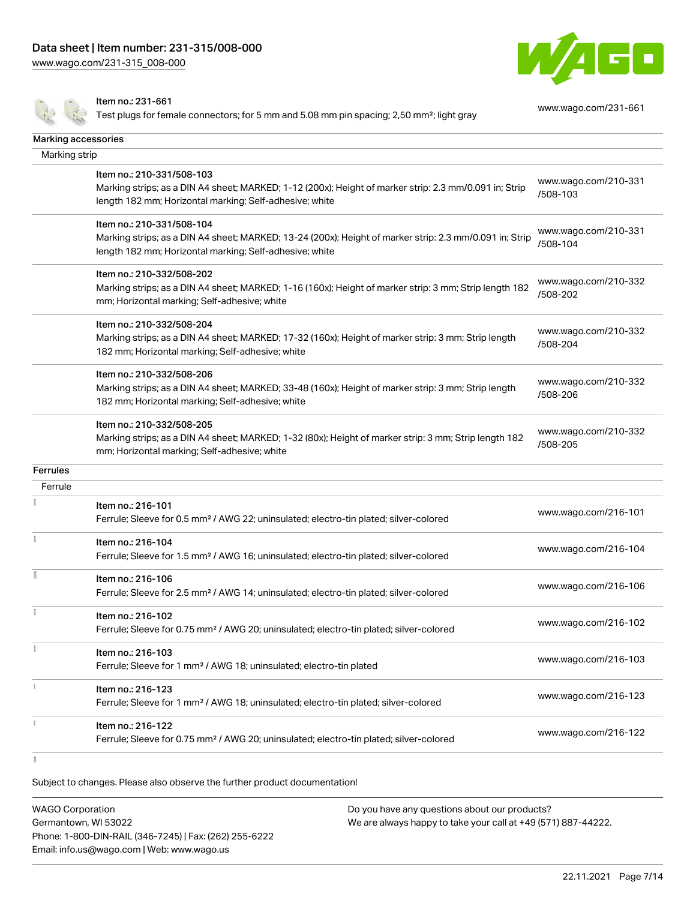[www.wago.com/231-315\\_008-000](http://www.wago.com/231-315_008-000)



Item no.: 231-661

Test plugs for female connectors; for 5 mm and 5.08 mm pin spacing; 2,50 mm²; light gray

[www.wago.com/231-661](http://www.wago.com/231-661)

| Marking accessories |                                                                                                                                                                                                 |                                  |
|---------------------|-------------------------------------------------------------------------------------------------------------------------------------------------------------------------------------------------|----------------------------------|
| Marking strip       |                                                                                                                                                                                                 |                                  |
|                     | Item no.: 210-331/508-103<br>Marking strips; as a DIN A4 sheet; MARKED; 1-12 (200x); Height of marker strip: 2.3 mm/0.091 in; Strip<br>length 182 mm; Horizontal marking; Self-adhesive; white  | www.wago.com/210-331<br>/508-103 |
|                     | Item no.: 210-331/508-104<br>Marking strips; as a DIN A4 sheet; MARKED; 13-24 (200x); Height of marker strip: 2.3 mm/0.091 in; Strip<br>length 182 mm; Horizontal marking; Self-adhesive; white | www.wago.com/210-331<br>/508-104 |
|                     | Item no.: 210-332/508-202<br>Marking strips; as a DIN A4 sheet; MARKED; 1-16 (160x); Height of marker strip: 3 mm; Strip length 182<br>mm; Horizontal marking; Self-adhesive; white             | www.wago.com/210-332<br>/508-202 |
|                     | Item no.: 210-332/508-204<br>Marking strips; as a DIN A4 sheet; MARKED; 17-32 (160x); Height of marker strip: 3 mm; Strip length<br>182 mm; Horizontal marking; Self-adhesive; white            | www.wago.com/210-332<br>/508-204 |
|                     | Item no.: 210-332/508-206<br>Marking strips; as a DIN A4 sheet; MARKED; 33-48 (160x); Height of marker strip: 3 mm; Strip length<br>182 mm; Horizontal marking; Self-adhesive; white            | www.wago.com/210-332<br>/508-206 |
|                     | Item no.: 210-332/508-205<br>Marking strips; as a DIN A4 sheet; MARKED; 1-32 (80x); Height of marker strip: 3 mm; Strip length 182<br>mm; Horizontal marking; Self-adhesive; white              | www.wago.com/210-332<br>/508-205 |
| <b>Ferrules</b>     |                                                                                                                                                                                                 |                                  |
| Ferrule             |                                                                                                                                                                                                 |                                  |
|                     | Item no.: 216-101<br>Ferrule; Sleeve for 0.5 mm <sup>2</sup> / AWG 22; uninsulated; electro-tin plated; silver-colored                                                                          | www.wago.com/216-101             |
| Ť                   | Item no.: 216-104<br>Ferrule; Sleeve for 1.5 mm <sup>2</sup> / AWG 16; uninsulated; electro-tin plated; silver-colored                                                                          | www.wago.com/216-104             |
|                     | Item no.: 216-106<br>Ferrule; Sleeve for 2.5 mm <sup>2</sup> / AWG 14; uninsulated; electro-tin plated; silver-colored                                                                          | www.wago.com/216-106             |
| ł                   | Item no.: 216-102<br>Ferrule; Sleeve for 0.75 mm <sup>2</sup> / AWG 20; uninsulated; electro-tin plated; silver-colored                                                                         | www.wago.com/216-102             |
|                     | Item no.: 216-103<br>Ferrule; Sleeve for 1 mm <sup>2</sup> / AWG 18; uninsulated; electro-tin plated                                                                                            | www.wago.com/216-103             |
|                     | Item no.: 216-123<br>Ferrule; Sleeve for 1 mm <sup>2</sup> / AWG 18; uninsulated; electro-tin plated; silver-colored                                                                            | www.wago.com/216-123             |
|                     | Item no.: 216-122<br>Ferrule; Sleeve for 0.75 mm <sup>2</sup> / AWG 20; uninsulated; electro-tin plated; silver-colored                                                                         | www.wago.com/216-122             |
|                     |                                                                                                                                                                                                 |                                  |

 $\mathbb{I}$ 

Subject to changes. Please also observe the further product documentation!

WAGO Corporation Germantown, WI 53022 Phone: 1-800-DIN-RAIL (346-7245) | Fax: (262) 255-6222 Email: info.us@wago.com | Web: www.wago.us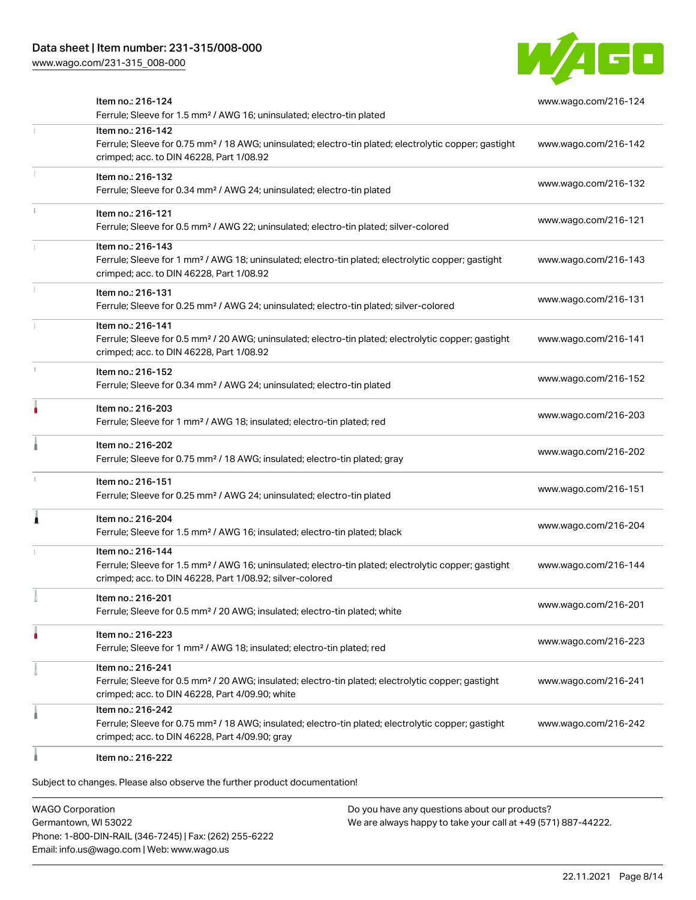# Data sheet | Item number: 231-315/008-000

[www.wago.com/231-315\\_008-000](http://www.wago.com/231-315_008-000)



| Item no.: 216-124<br>Ferrule; Sleeve for 1.5 mm <sup>2</sup> / AWG 16; uninsulated; electro-tin plated                                                                                            | www.wago.com/216-124 |
|---------------------------------------------------------------------------------------------------------------------------------------------------------------------------------------------------|----------------------|
| Item no.: 216-142<br>Ferrule; Sleeve for 0.75 mm <sup>2</sup> / 18 AWG; uninsulated; electro-tin plated; electrolytic copper; gastight<br>crimped; acc. to DIN 46228, Part 1/08.92                | www.wago.com/216-142 |
| Item no.: 216-132<br>Ferrule; Sleeve for 0.34 mm <sup>2</sup> / AWG 24; uninsulated; electro-tin plated                                                                                           | www.wago.com/216-132 |
| Item no.: 216-121<br>Ferrule; Sleeve for 0.5 mm <sup>2</sup> / AWG 22; uninsulated; electro-tin plated; silver-colored                                                                            | www.wago.com/216-121 |
| Item no.: 216-143<br>Ferrule; Sleeve for 1 mm <sup>2</sup> / AWG 18; uninsulated; electro-tin plated; electrolytic copper; gastight<br>crimped; acc. to DIN 46228, Part 1/08.92                   | www.wago.com/216-143 |
| Item no.: 216-131<br>Ferrule; Sleeve for 0.25 mm <sup>2</sup> / AWG 24; uninsulated; electro-tin plated; silver-colored                                                                           | www.wago.com/216-131 |
| Item no.: 216-141<br>Ferrule; Sleeve for 0.5 mm <sup>2</sup> / 20 AWG; uninsulated; electro-tin plated; electrolytic copper; gastight<br>crimped; acc. to DIN 46228, Part 1/08.92                 | www.wago.com/216-141 |
| Item no.: 216-152<br>Ferrule; Sleeve for 0.34 mm <sup>2</sup> / AWG 24; uninsulated; electro-tin plated                                                                                           | www.wago.com/216-152 |
| Item no.: 216-203<br>Ferrule; Sleeve for 1 mm <sup>2</sup> / AWG 18; insulated; electro-tin plated; red                                                                                           | www.wago.com/216-203 |
| Item no.: 216-202<br>Ferrule; Sleeve for 0.75 mm <sup>2</sup> / 18 AWG; insulated; electro-tin plated; gray                                                                                       | www.wago.com/216-202 |
| Item no.: 216-151<br>Ferrule; Sleeve for 0.25 mm <sup>2</sup> / AWG 24; uninsulated; electro-tin plated                                                                                           | www.wago.com/216-151 |
| Item no.: 216-204<br>Ferrule; Sleeve for 1.5 mm <sup>2</sup> / AWG 16; insulated; electro-tin plated; black                                                                                       | www.wago.com/216-204 |
| Item no.: 216-144<br>Ferrule; Sleeve for 1.5 mm <sup>2</sup> / AWG 16; uninsulated; electro-tin plated; electrolytic copper; gastight<br>crimped; acc. to DIN 46228, Part 1/08.92; silver-colored | www.wago.com/216-144 |
| Item no.: 216-201<br>Ferrule; Sleeve for 0.5 mm <sup>2</sup> / 20 AWG; insulated; electro-tin plated; white                                                                                       | www.wago.com/216-201 |
| Item no.: 216-223<br>Ferrule; Sleeve for 1 mm <sup>2</sup> / AWG 18; insulated; electro-tin plated; red                                                                                           | www.wago.com/216-223 |
| Item no.: 216-241<br>Ferrule; Sleeve for 0.5 mm <sup>2</sup> / 20 AWG; insulated; electro-tin plated; electrolytic copper; gastight<br>crimped; acc. to DIN 46228, Part 4/09.90; white            | www.wago.com/216-241 |
| Item no.: 216-242<br>Ferrule; Sleeve for 0.75 mm <sup>2</sup> / 18 AWG; insulated; electro-tin plated; electrolytic copper; gastight<br>crimped; acc. to DIN 46228, Part 4/09.90; gray            | www.wago.com/216-242 |
| Item no.: 216-222                                                                                                                                                                                 |                      |

Subject to changes. Please also observe the further product documentation!

WAGO Corporation Germantown, WI 53022 Phone: 1-800-DIN-RAIL (346-7245) | Fax: (262) 255-6222 Email: info.us@wago.com | Web: www.wago.us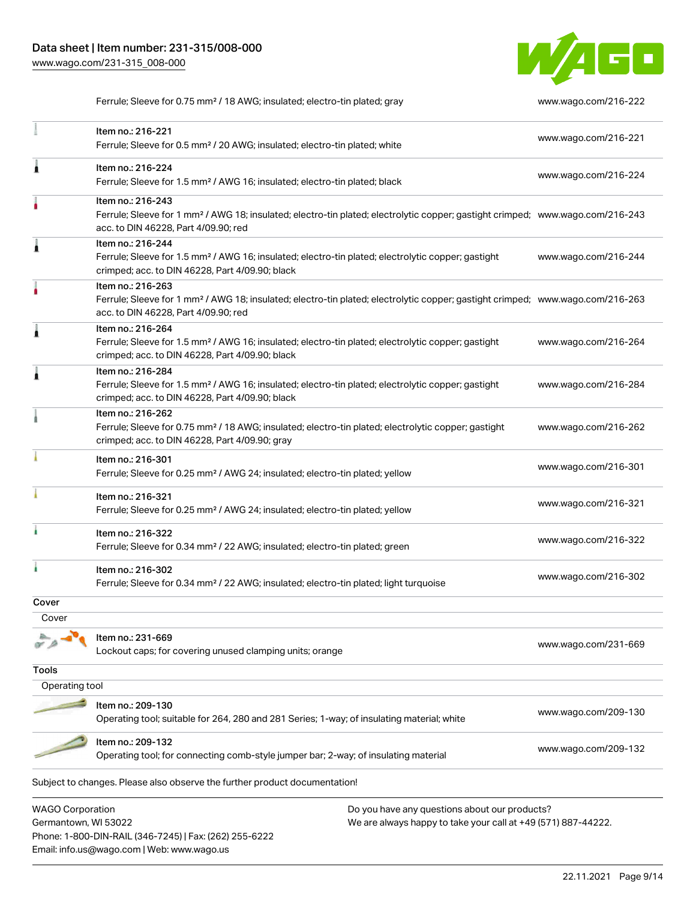Email: info.us@wago.com | Web: www.wago.us



Ferrule; Sleeve for 0.75 mm² / 18 AWG; insulated; electro-tin plated; gray [www.wago.com/216-222](http://www.wago.com/216-222)

|                                                 | Item no.: 216-221<br>Ferrule; Sleeve for 0.5 mm <sup>2</sup> / 20 AWG; insulated; electro-tin plated; white                                                                                             |                                                                                                                | www.wago.com/216-221 |
|-------------------------------------------------|---------------------------------------------------------------------------------------------------------------------------------------------------------------------------------------------------------|----------------------------------------------------------------------------------------------------------------|----------------------|
|                                                 | Item no.: 216-224<br>Ferrule; Sleeve for 1.5 mm <sup>2</sup> / AWG 16; insulated; electro-tin plated; black                                                                                             |                                                                                                                | www.wago.com/216-224 |
|                                                 | Item no.: 216-243<br>Ferrule; Sleeve for 1 mm <sup>2</sup> / AWG 18; insulated; electro-tin plated; electrolytic copper; gastight crimped; www.wago.com/216-243<br>acc. to DIN 46228, Part 4/09.90; red |                                                                                                                |                      |
|                                                 | Item no.: 216-244<br>Ferrule; Sleeve for 1.5 mm <sup>2</sup> / AWG 16; insulated; electro-tin plated; electrolytic copper; gastight<br>crimped; acc. to DIN 46228, Part 4/09.90; black                  |                                                                                                                | www.wago.com/216-244 |
|                                                 | Item no.: 216-263<br>Ferrule; Sleeve for 1 mm <sup>2</sup> / AWG 18; insulated; electro-tin plated; electrolytic copper; gastight crimped; www.wago.com/216-263<br>acc. to DIN 46228, Part 4/09.90; red |                                                                                                                |                      |
|                                                 | Item no.: 216-264<br>Ferrule; Sleeve for 1.5 mm <sup>2</sup> / AWG 16; insulated; electro-tin plated; electrolytic copper; gastight<br>crimped; acc. to DIN 46228, Part 4/09.90; black                  |                                                                                                                | www.wago.com/216-264 |
|                                                 | Item no.: 216-284<br>Ferrule; Sleeve for 1.5 mm <sup>2</sup> / AWG 16; insulated; electro-tin plated; electrolytic copper; gastight<br>crimped; acc. to DIN 46228, Part 4/09.90; black                  |                                                                                                                | www.wago.com/216-284 |
|                                                 | Item no.: 216-262<br>Ferrule; Sleeve for 0.75 mm <sup>2</sup> / 18 AWG; insulated; electro-tin plated; electrolytic copper; gastight<br>crimped; acc. to DIN 46228, Part 4/09.90; gray                  |                                                                                                                | www.wago.com/216-262 |
|                                                 | Item no.: 216-301<br>Ferrule; Sleeve for 0.25 mm <sup>2</sup> / AWG 24; insulated; electro-tin plated; yellow                                                                                           |                                                                                                                | www.wago.com/216-301 |
|                                                 | Item no.: 216-321<br>Ferrule; Sleeve for 0.25 mm <sup>2</sup> / AWG 24; insulated; electro-tin plated; yellow                                                                                           |                                                                                                                | www.wago.com/216-321 |
|                                                 | Item no.: 216-322<br>Ferrule; Sleeve for 0.34 mm <sup>2</sup> / 22 AWG; insulated; electro-tin plated; green                                                                                            |                                                                                                                | www.wago.com/216-322 |
|                                                 | Item no.: 216-302<br>Ferrule; Sleeve for 0.34 mm <sup>2</sup> / 22 AWG; insulated; electro-tin plated; light turquoise                                                                                  |                                                                                                                | www.wago.com/216-302 |
| Cover                                           |                                                                                                                                                                                                         |                                                                                                                |                      |
| Cover                                           |                                                                                                                                                                                                         |                                                                                                                |                      |
|                                                 | Item no.: 231-669<br>Lockout caps; for covering unused clamping units; orange                                                                                                                           |                                                                                                                | www.wago.com/231-669 |
| <b>Tools</b>                                    |                                                                                                                                                                                                         |                                                                                                                |                      |
| Operating tool                                  |                                                                                                                                                                                                         |                                                                                                                |                      |
|                                                 | Item no.: 209-130                                                                                                                                                                                       |                                                                                                                |                      |
|                                                 | Operating tool; suitable for 264, 280 and 281 Series; 1-way; of insulating material; white                                                                                                              |                                                                                                                | www.wago.com/209-130 |
|                                                 | Item no.: 209-132<br>Operating tool; for connecting comb-style jumper bar; 2-way; of insulating material                                                                                                |                                                                                                                | www.wago.com/209-132 |
|                                                 | Subject to changes. Please also observe the further product documentation!                                                                                                                              |                                                                                                                |                      |
| <b>WAGO Corporation</b><br>Germantown, WI 53022 | Phone: 1-800-DIN-RAIL (346-7245)   Fax: (262) 255-6222                                                                                                                                                  | Do you have any questions about our products?<br>We are always happy to take your call at +49 (571) 887-44222. |                      |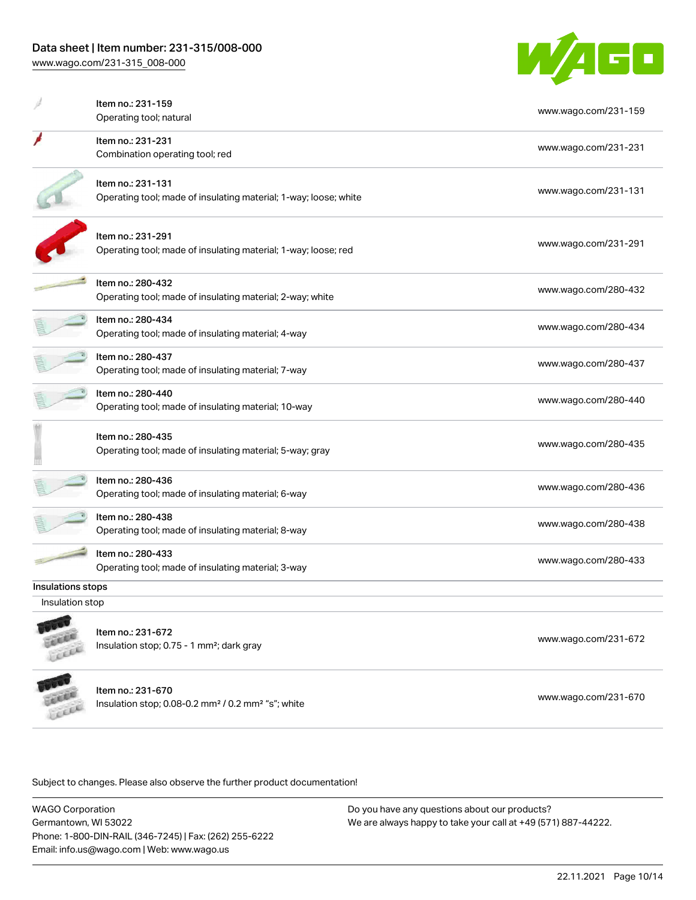# Data sheet | Item number: 231-315/008-000

[www.wago.com/231-315\\_008-000](http://www.wago.com/231-315_008-000)

ù.



|                   | Item no.: 231-159                                                          |                      |
|-------------------|----------------------------------------------------------------------------|----------------------|
|                   | Operating tool; natural                                                    | www.wago.com/231-159 |
|                   | Item no.: 231-231                                                          |                      |
|                   | Combination operating tool; red                                            | www.wago.com/231-231 |
|                   | Item no.: 231-131                                                          |                      |
|                   | Operating tool; made of insulating material; 1-way; loose; white           | www.wago.com/231-131 |
|                   | Item no.: 231-291                                                          |                      |
|                   | Operating tool; made of insulating material; 1-way; loose; red             | www.wago.com/231-291 |
|                   | Item no.: 280-432                                                          | www.wago.com/280-432 |
|                   | Operating tool; made of insulating material; 2-way; white                  |                      |
|                   | Item no.: 280-434                                                          | www.wago.com/280-434 |
|                   | Operating tool; made of insulating material; 4-way                         |                      |
|                   | Item no.: 280-437                                                          | www.wago.com/280-437 |
|                   | Operating tool; made of insulating material; 7-way                         |                      |
|                   | Item no.: 280-440                                                          | www.wago.com/280-440 |
|                   | Operating tool; made of insulating material; 10-way                        |                      |
|                   | Item no.: 280-435                                                          |                      |
|                   | Operating tool; made of insulating material; 5-way; gray                   | www.wago.com/280-435 |
|                   | Item no.: 280-436                                                          |                      |
|                   | Operating tool; made of insulating material; 6-way                         | www.wago.com/280-436 |
|                   | Item no.: 280-438                                                          |                      |
|                   | Operating tool; made of insulating material; 8-way                         | www.wago.com/280-438 |
|                   | Item no.: 280-433                                                          |                      |
|                   | Operating tool; made of insulating material; 3-way                         | www.wago.com/280-433 |
| Insulations stops |                                                                            |                      |
| Insulation stop   |                                                                            |                      |
|                   |                                                                            |                      |
|                   | Item no.: 231-672<br>Insulation stop; 0.75 - 1 mm <sup>2</sup> ; dark gray | www.wago.com/231-672 |
|                   |                                                                            |                      |
|                   |                                                                            |                      |

Item no.: 231-670 Insulation stop; 0.08-0.2 mm² / 0.2 mm² "s"; white [www.wago.com/231-670](http://www.wago.com/231-670) www.wago.com/231-670 LEEEE

Subject to changes. Please also observe the further product documentation!

WAGO Corporation Germantown, WI 53022 Phone: 1-800-DIN-RAIL (346-7245) | Fax: (262) 255-6222 Email: info.us@wago.com | Web: www.wago.us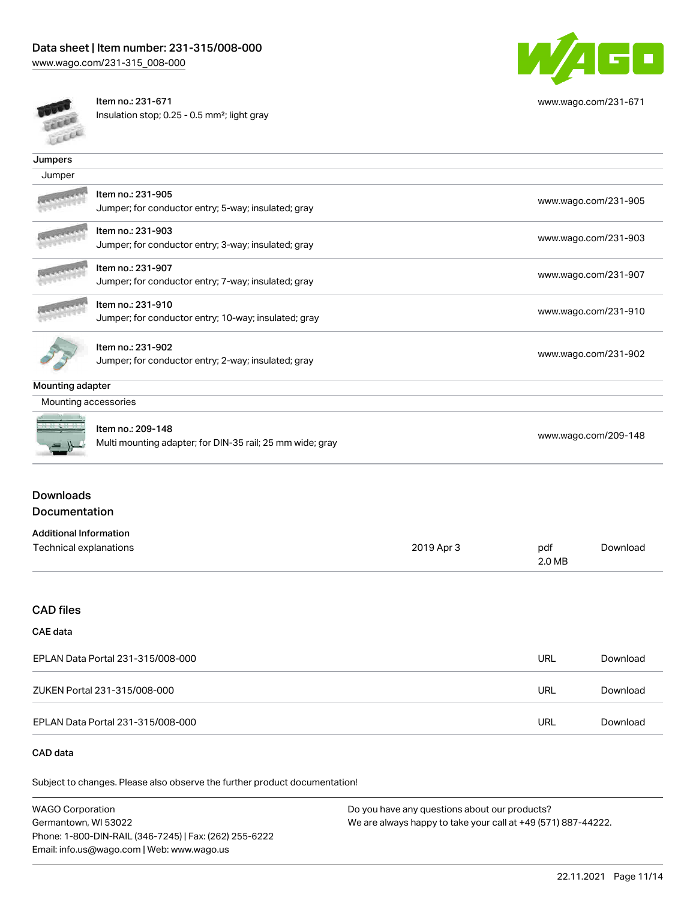

[www.wago.com/231-671](http://www.wago.com/231-671)

出版

Item no.: 231-671 Insulation stop; 0.25 - 0.5 mm²; light gray

| <b>SERVICE</b>                    |                                                           |            |                      |                      |  |
|-----------------------------------|-----------------------------------------------------------|------------|----------------------|----------------------|--|
| Jumpers                           |                                                           |            |                      |                      |  |
| Jumper                            |                                                           |            |                      |                      |  |
|                                   | Item no.: 231-905                                         |            |                      |                      |  |
|                                   | Jumper; for conductor entry; 5-way; insulated; gray       |            | www.wago.com/231-905 |                      |  |
|                                   | Item no.: 231-903                                         |            | www.wago.com/231-903 |                      |  |
|                                   | Jumper; for conductor entry; 3-way; insulated; gray       |            |                      |                      |  |
|                                   | Item no.: 231-907                                         |            | www.wago.com/231-907 |                      |  |
|                                   | Jumper; for conductor entry; 7-way; insulated; gray       |            |                      |                      |  |
|                                   | Item no.: 231-910                                         |            |                      |                      |  |
|                                   | Jumper; for conductor entry; 10-way; insulated; gray      |            | www.wago.com/231-910 |                      |  |
|                                   | Item no.: 231-902                                         |            |                      |                      |  |
|                                   | Jumper; for conductor entry; 2-way; insulated; gray       |            |                      | www.wago.com/231-902 |  |
| Mounting adapter                  |                                                           |            |                      |                      |  |
| Mounting accessories              |                                                           |            |                      |                      |  |
|                                   | Item no.: 209-148                                         |            |                      |                      |  |
|                                   | Multi mounting adapter; for DIN-35 rail; 25 mm wide; gray |            |                      | www.wago.com/209-148 |  |
| <b>Downloads</b>                  |                                                           |            |                      |                      |  |
| Documentation                     |                                                           |            |                      |                      |  |
| <b>Additional Information</b>     |                                                           |            |                      |                      |  |
| Technical explanations            |                                                           | 2019 Apr 3 | pdf<br>2.0 MB        | Download             |  |
|                                   |                                                           |            |                      |                      |  |
| <b>CAD files</b>                  |                                                           |            |                      |                      |  |
| <b>CAE</b> data                   |                                                           |            |                      |                      |  |
| EPLAN Data Portal 231-315/008-000 |                                                           |            | <b>URL</b>           | Download             |  |
|                                   | ZUKEN Portal 231-315/008-000                              |            | <b>URL</b>           | Download             |  |
|                                   | EPLAN Data Portal 231-315/008-000                         |            | URL                  | Download             |  |
| CAD data                          |                                                           |            |                      |                      |  |

Subject to changes. Please also observe the further product documentation!

| <b>WAGO Corporation</b>                                | Do you have any questions about our products?                 |
|--------------------------------------------------------|---------------------------------------------------------------|
| Germantown, WI 53022                                   | We are always happy to take your call at +49 (571) 887-44222. |
| Phone: 1-800-DIN-RAIL (346-7245)   Fax: (262) 255-6222 |                                                               |
| Email: info.us@wago.com   Web: www.wago.us             |                                                               |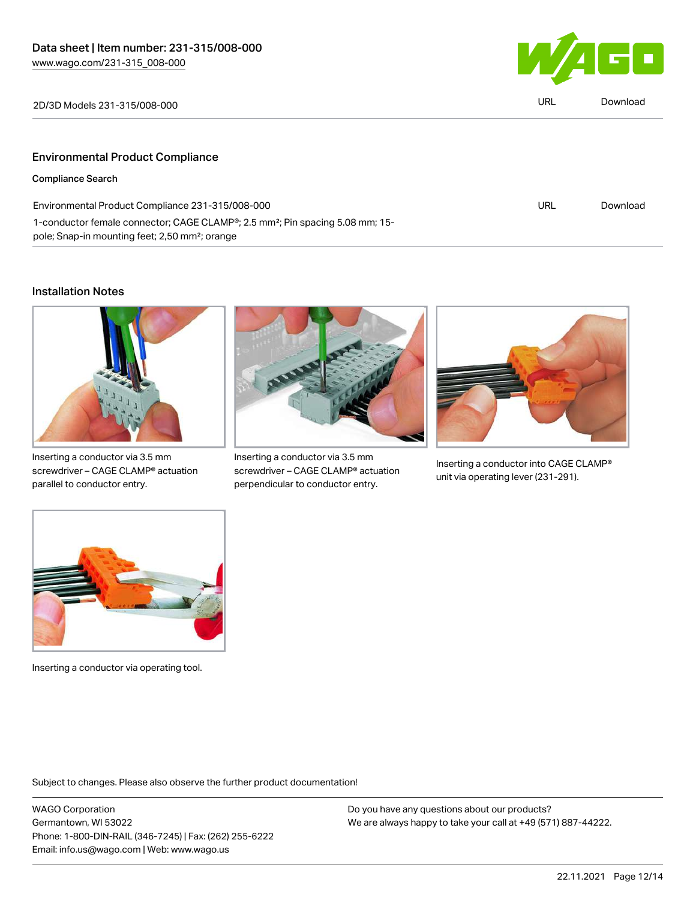1-conductor female connector; CAGE CLAMP®; 2.5 mm²; Pin spacing 5.08 mm; 15-



| 2D/3D Models 231-315/008-000                     | URL | Download |
|--------------------------------------------------|-----|----------|
| <b>Environmental Product Compliance</b>          |     |          |
| <b>Compliance Search</b>                         |     |          |
| Environmental Product Compliance 231-315/008-000 | URL | Download |

### Installation Notes



pole; Snap-in mounting feet; 2,50 mm²; orange

Inserting a conductor via 3.5 mm screwdriver – CAGE CLAMP® actuation parallel to conductor entry.



Inserting a conductor via 3.5 mm screwdriver – CAGE CLAMP® actuation perpendicular to conductor entry.



Inserting a conductor into CAGE CLAMP® unit via operating lever (231-291).



Inserting a conductor via operating tool.

Subject to changes. Please also observe the further product documentation!

WAGO Corporation Germantown, WI 53022 Phone: 1-800-DIN-RAIL (346-7245) | Fax: (262) 255-6222 Email: info.us@wago.com | Web: www.wago.us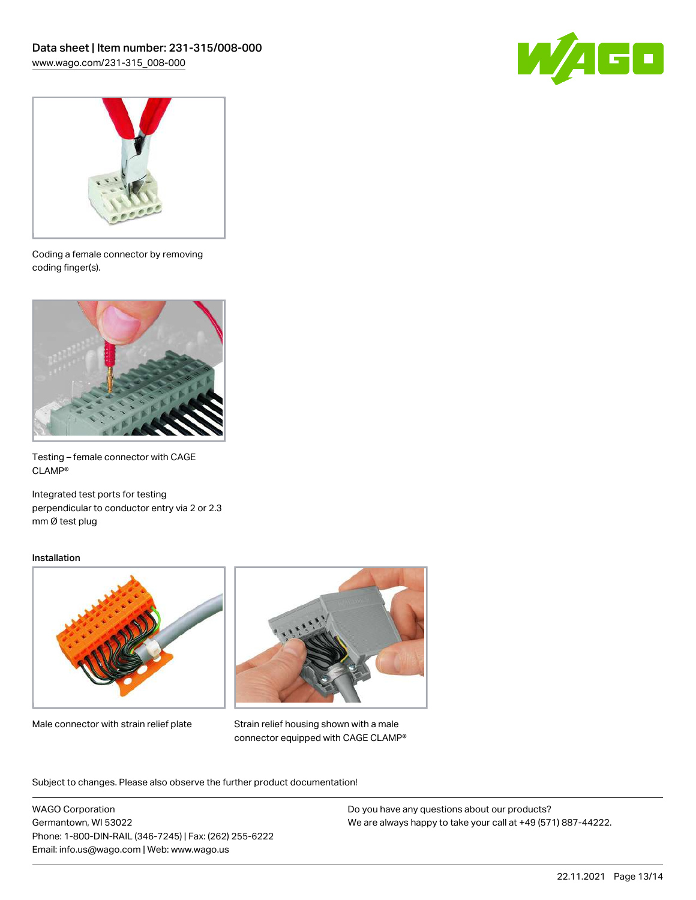



Coding a female connector by removing coding finger(s).



Testing – female connector with CAGE CLAMP®

Integrated test ports for testing perpendicular to conductor entry via 2 or 2.3 mm Ø test plug

#### Installation



Male connector with strain relief plate



Strain relief housing shown with a male connector equipped with CAGE CLAMP®

Subject to changes. Please also observe the further product documentation!

WAGO Corporation Germantown, WI 53022 Phone: 1-800-DIN-RAIL (346-7245) | Fax: (262) 255-6222 Email: info.us@wago.com | Web: www.wago.us